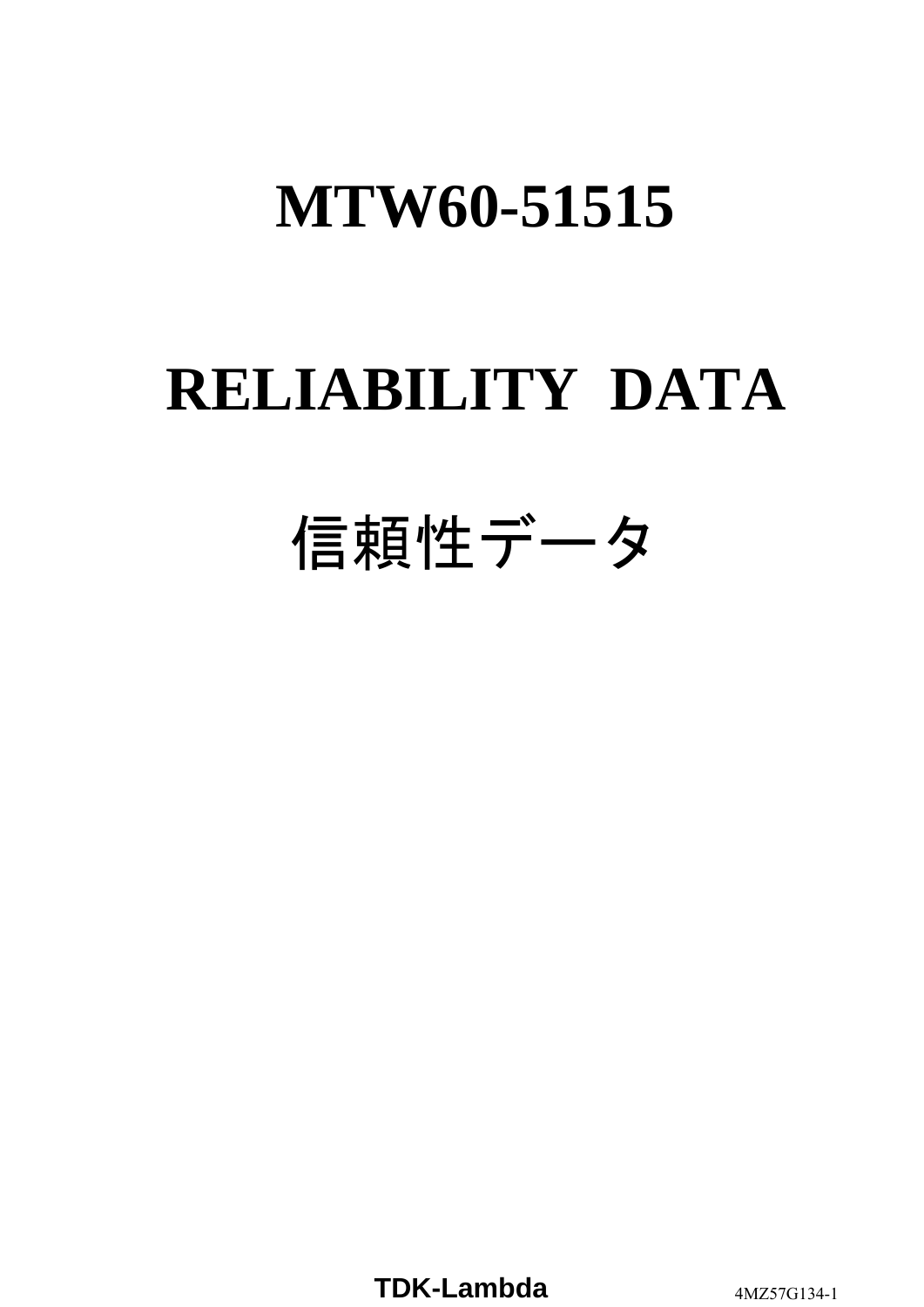# **RELIABILITY DATA**

# 信頼性データ

**TDK-Lambda** 4MZ57G134-1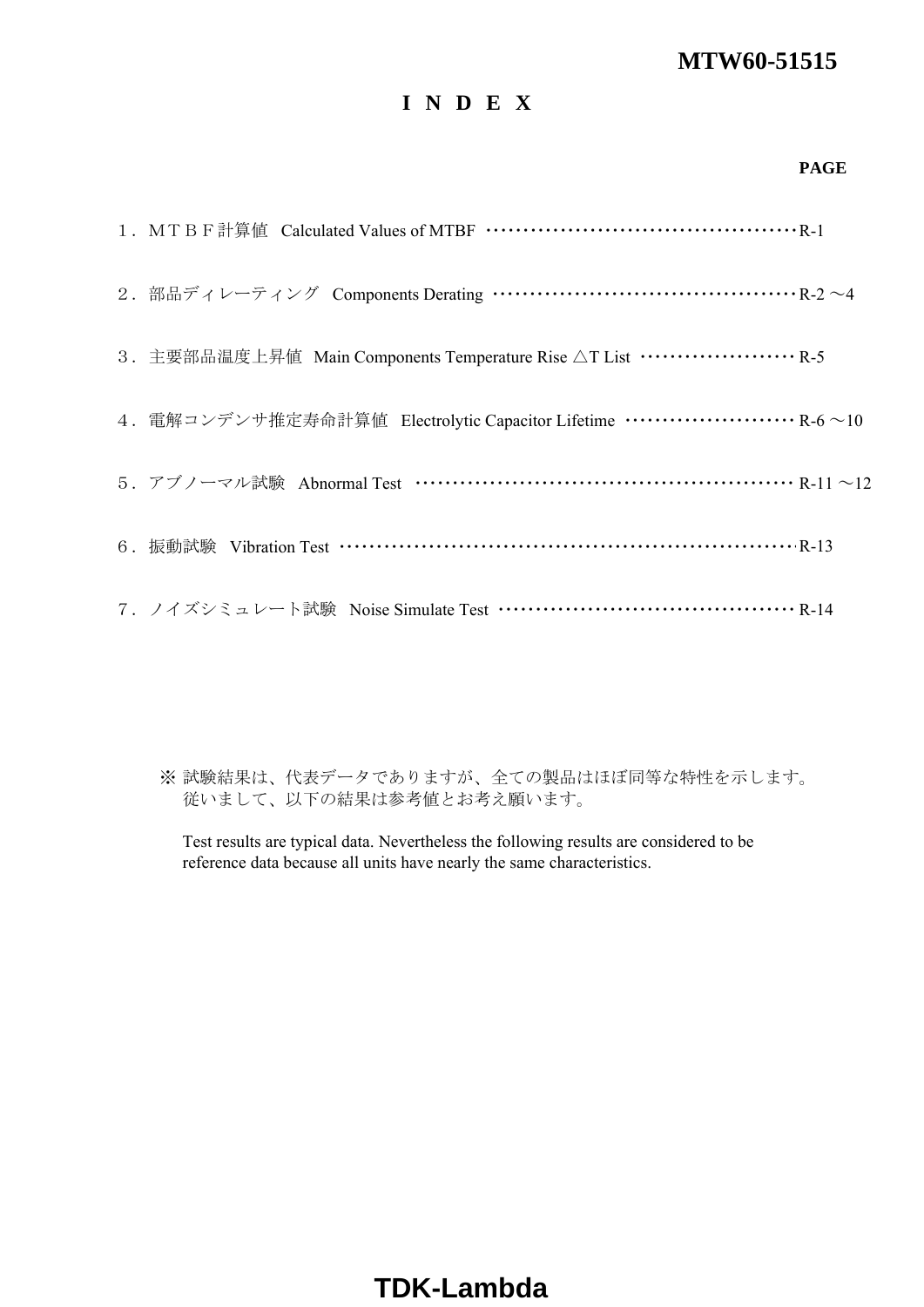# **I N D E X**

#### **PAGE**

| 2. 部品ディレーティング Components Derating ……………………………………… R-2 ~4                                |
|-----------------------------------------------------------------------------------------|
| 3. 主要部品温度上昇值 Main Components Temperature Rise △T List ························· R-5     |
| 4. 電解コンデンサ推定寿命計算値 Electrolytic Capacitor Lifetime ······························ R-6~10 |
| 5. アブノーマル試験 Abnormal Test ……………………………………………… R-11 ~12                                   |
| 6. 振動試験 Vibration Test ………………………………………………………… R-13                                      |
| 7. ノイズシミュレート試験 Noise Simulate Test …………………………………… R-14                                  |

※ 試験結果は、代表データでありますが、全ての製品はほぼ同等な特性を示します。 従いまして、以下の結果は参考値とお考え願います。

Test results are typical data. Nevertheless the following results are considered to be reference data because all units have nearly the same characteristics.

# **TDK-Lambda**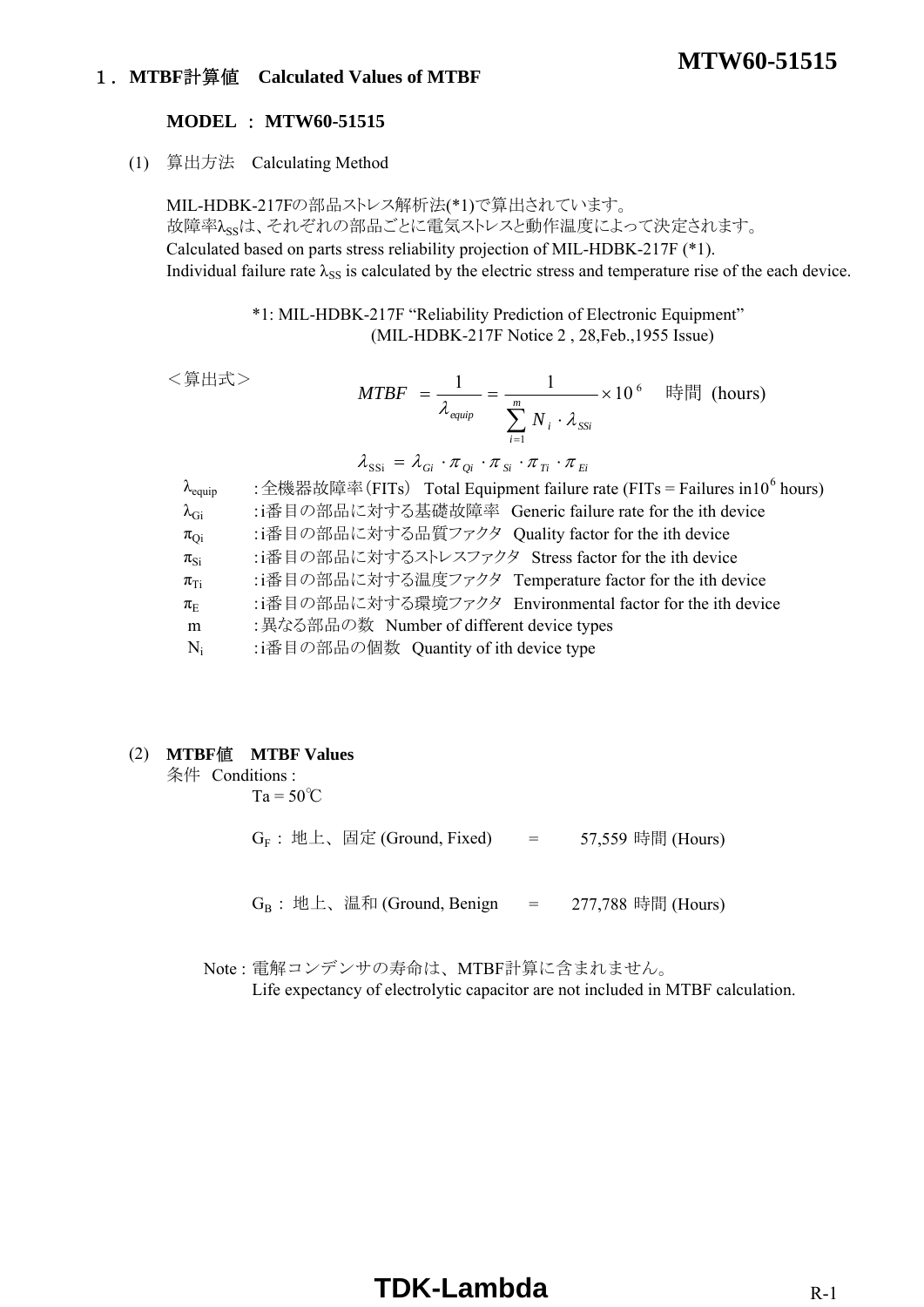### 1.**MTBF**計算値 **Calculated Values of MTBF**

#### **MODEL** : **MTW60-51515**

(1) 算出方法 Calculating Method

MIL-HDBK-217Fの部品ストレス解析法(\*1)で算出されています。 故障率 $\lambda_{\rm ss}$ は、それぞれの部品ごとに電気ストレスと動作温度によって決定されます。 Calculated based on parts stress reliability projection of MIL-HDBK-217F (\*1). Individual failure rate  $\lambda_{SS}$  is calculated by the electric stress and temperature rise of the each device.

> \*1: MIL-HDBK-217F "Reliability Prediction of Electronic Equipment" (MIL-HDBK-217F Notice 2 , 28,Feb.,1955 Issue)

```
<算出式>
```

$$
MTBF = \frac{1}{\lambda_{\text{equip}}} = \frac{1}{\sum_{i=1}^{m} N_i \cdot \lambda_{\text{SSI}}} \times 10^6 \quad \text{iff} \quad \text{[hours)}
$$
\n
$$
\lambda_{\text{SSI}} = \lambda_{\text{Gi}} \cdot \pi_{\text{Qi}} \cdot \pi_{\text{Si}} \cdot \pi_{\text{Ti}} \cdot \pi_{\text{Ei}}
$$

**MTW60-51515**

| $\lambda_{\text{equiv}}$ | : 全機器故障率(FITs) Total Equipment failure rate (FITs = Failures in 10 <sup>6</sup> hours) |
|--------------------------|----------------------------------------------------------------------------------------|
| $\lambda_{\rm Gi}$       | :i番目の部品に対する基礎故障率 Generic failure rate for the ith device                               |
| $\pi_{Qi}$               | :i番目の部品に対する品質ファクタ Quality factor for the ith device                                    |
| $\pi_{\text{Si}}$        | :i番目の部品に対するストレスファクタ Stress factor for the ith device                                   |
| $\pi_{Ti}$               | :i番目の部品に対する温度ファクタ Temperature factor for the ith device                                |
| $\pi_{\rm E}$            | :i番目の部品に対する環境ファクタ Environmental factor for the ith device                              |
| m                        | : 異なる部品の数 Number of different device types                                             |
| $N_i$                    | :i番目の部品の個数 Quantity of ith device type                                                 |
|                          |                                                                                        |

#### (2) **MTBF**値 **MTBF Values**

条件 Conditions :

 $Ta = 50^{\circ}C$ 

 $G_F$  : 地上、固定 (Ground, Fixed) = 57,559 時間 (Hours)

 $G_B$  : 地上、温和 (Ground, Benign = 277,788 時間 (Hours)

Note : 電解コンデンサの寿命は、MTBF計算に含まれません。

Life expectancy of electrolytic capacitor are not included in MTBF calculation.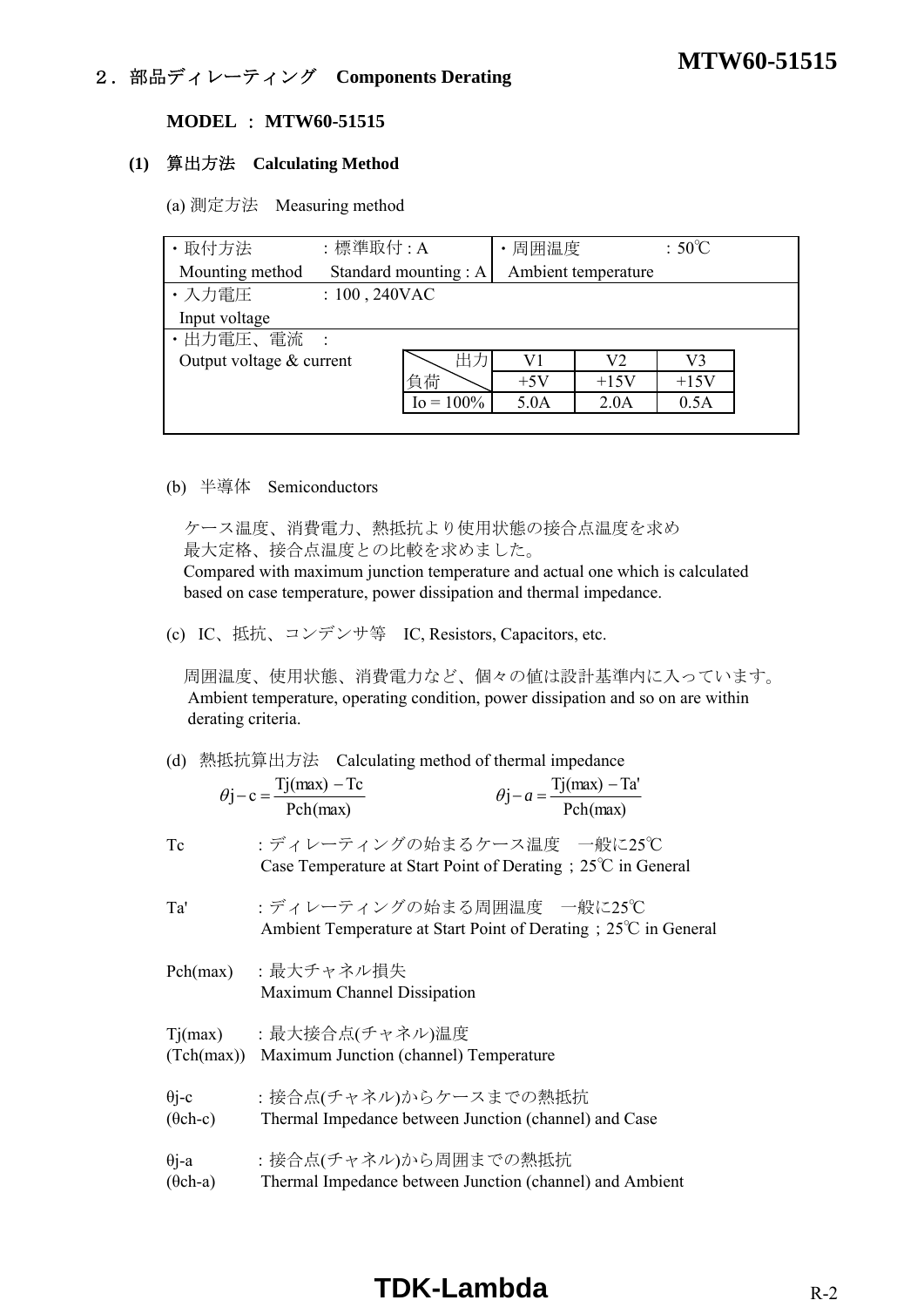# **MTW60-51515** 2.部品ディレーティング **Components Derating**

#### **MODEL** : **MTW60-51515**

#### **(1)** 算出方法 **Calculating Method**

(a) 測定方法 Measuring method

| · 取付方法                   | :標準取付:A          |                      | 周囲温度  |                     | $:50^{\circ}$ C |  |
|--------------------------|------------------|----------------------|-------|---------------------|-----------------|--|
| Mounting method          |                  | Standard mounting: A |       | Ambient temperature |                 |  |
| ・入力電圧                    | $: 100, 240$ VAC |                      |       |                     |                 |  |
| Input voltage            |                  |                      |       |                     |                 |  |
| ・出力電圧、電流                 |                  |                      |       |                     |                 |  |
| Output voltage & current |                  | 出力                   | V1    | V2                  | V3              |  |
|                          |                  | 負荷                   | $+5V$ | $+15V$              | $+15V$          |  |
|                          |                  | $I_0 = 100\%$        | 5.0A  | 2.0A                | 0.5A            |  |
|                          |                  |                      |       |                     |                 |  |

#### (b) 半導体 Semiconductors

 ケース温度、消費電力、熱抵抗より使用状態の接合点温度を求め 最大定格、接合点温度との比較を求めました。

 Compared with maximum junction temperature and actual one which is calculated based on case temperature, power dissipation and thermal impedance.

(c) IC、抵抗、コンデンサ等 IC, Resistors, Capacitors, etc.

 周囲温度、使用状態、消費電力など、個々の値は設計基準内に入っています。 Ambient temperature, operating condition, power dissipation and so on are within derating criteria.

|  |  |  | (d) 熱抵抗算出方法 Calculating method of thermal impedance |  |
|--|--|--|-----------------------------------------------------|--|
|--|--|--|-----------------------------------------------------|--|

| $\theta$ j – c = $\frac{Tj(max) - Tc}{Pch(max)}$ | $\theta$ j – $a = \frac{Tj(max) - Ta'}{Pch(max)}$ |
|--------------------------------------------------|---------------------------------------------------|
|                                                  |                                                   |

Tc :ディレーティングの始まるケース温度 一般に25℃ Case Temperature at Start Point of Derating;25℃ in General

Ta' :ディレーティングの始まる周囲温度 一般に25℃ Ambient Temperature at Start Point of Derating;25℃ in General

- Pch(max) :最大チャネル損失 Maximum Channel Dissipation
- Tj(max) :最大接合点(チャネル)温度 (Tch(max)) Maximum Junction (channel) Temperature
- θi-c :接合点(チャネル)からケースまでの熱抵抗
- (θch-c) Thermal Impedance between Junction (channel) and Case
- θj-a :接合点(チャネル)から周囲までの熱抵抗
- (θch-a) Thermal Impedance between Junction (channel) and Ambient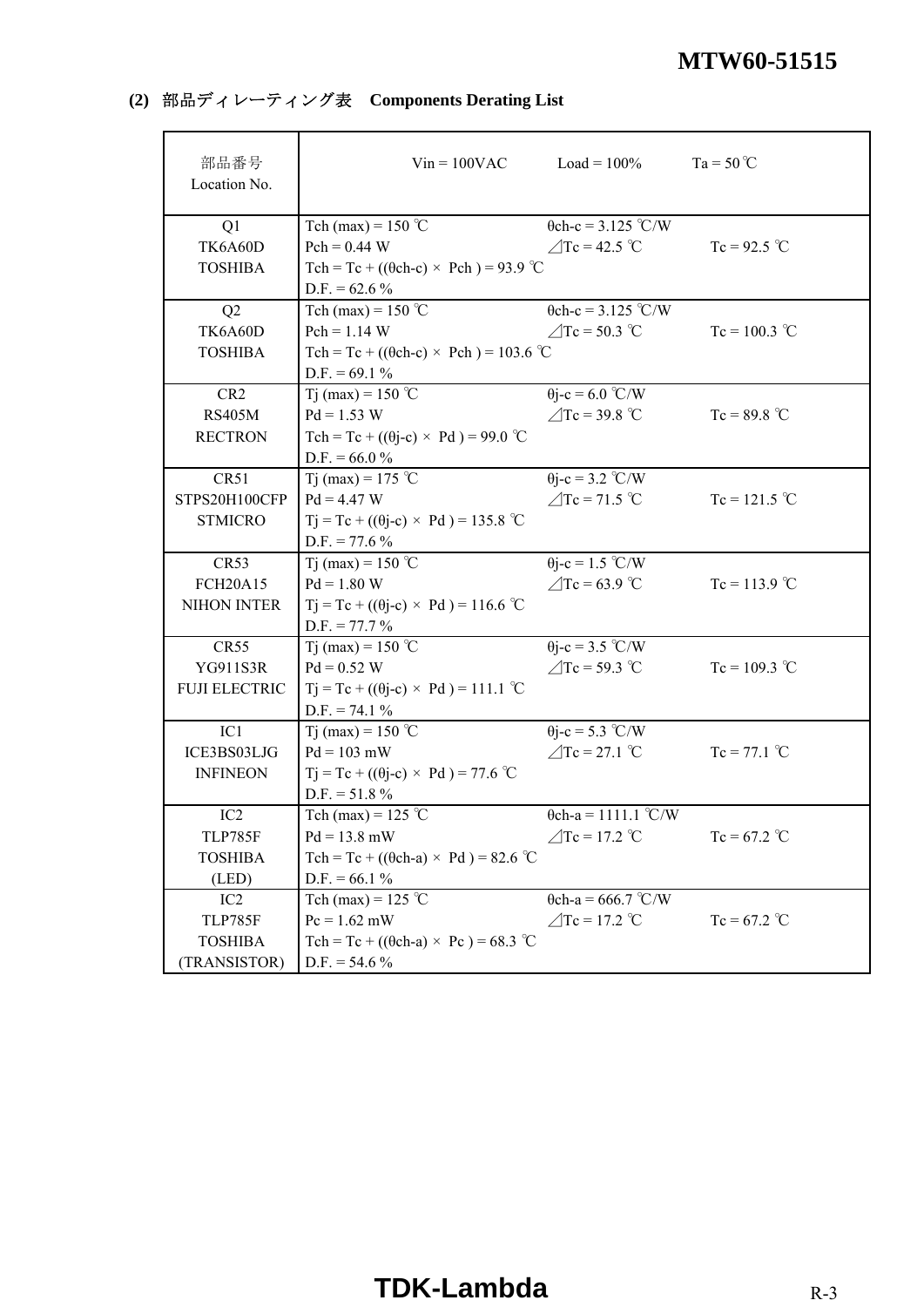# **(2)** 部品ディレーティング表 **Components Derating List**

| 部品番号<br>Location No. |                                                   | $Vin = 100VAC$ $Load = 100%$ | $Ta = 50^{\circ}C$ |
|----------------------|---------------------------------------------------|------------------------------|--------------------|
| Q1                   | Tch (max) = $150$ °C                              | $\theta$ ch-c = 3.125 °C/W   |                    |
| TK6A60D              | $Pch = 0.44 W$                                    | $\triangle$ Tc = 42.5 °C     | $Tc = 92.5$ °C     |
| <b>TOSHIBA</b>       | Tch = Tc + (( $\theta$ ch-c) × Pch) = 93.9 °C     |                              |                    |
|                      | D.F. = $62.6\%$                                   |                              |                    |
| Q2                   | Tch (max) = $150^{\circ}$ C                       | $\theta$ ch-c = 3.125 °C/W   |                    |
| TK6A60D              | $Pch = 1.14 W$                                    | $\angle$ Tc = 50.3 °C        | $Tc = 100.3$ °C    |
| <b>TOSHIBA</b>       | Tch = Tc + (( $\theta$ ch-c) × Pch) = 103.6 °C    |                              |                    |
|                      | $D.F. = 69.1 %$                                   |                              |                    |
| CR <sub>2</sub>      | Tj (max) = 150 °C                                 | $\theta$ j-c = 6.0 °C/W      |                    |
| <b>RS405M</b>        | $Pd = 1.53 W$                                     | $\angle$ Tc = 39.8 °C        | $Tc = 89.8 °C$     |
| <b>RECTRON</b>       | Tch = Tc + (( $\theta$ j-c) × Pd) = 99.0 °C       |                              |                    |
|                      | $D.F. = 66.0 %$                                   |                              |                    |
| CR51                 | Tj (max) = 175 °C                                 | $\theta$ j-c = 3.2 °C/W      |                    |
| STPS20H100CFP        | $Pd = 4.47 W$                                     | $\angle$ Tc = 71.5 °C        | $Tc = 121.5 °C$    |
| <b>STMICRO</b>       | $Tj = Tc + ((\theta j - c) \times Pd) = 135.8$ °C |                              |                    |
|                      | $D.F. = 77.6 %$                                   |                              |                    |
| CR53                 | Tj (max) = 150 °C                                 | $\theta$ j-c = 1.5 °C/W      |                    |
| <b>FCH20A15</b>      | $Pd = 1.80 W$                                     | $\angle$ Tc = 63.9 °C        | $Tc = 113.9$ °C    |
| <b>NIHON INTER</b>   | $Tj = Tc + ((\theta j - c) \times Pd) = 116.6$ °C |                              |                    |
|                      | $D.F. = 77.7 \%$                                  |                              |                    |
| <b>CR55</b>          | Tj (max) = 150 °C                                 | $\theta$ j-c = 3.5 °C/W      |                    |
| YG911S3R             | $Pd = 0.52 W$                                     | $\triangle$ Tc = 59.3 °C     | $Tc = 109.3$ °C    |
| <b>FUJI ELECTRIC</b> | $Tj = Tc + ((\theta j - c) \times Pd) = 111.1$ °C |                              |                    |
|                      | $D.F. = 74.1 \%$                                  |                              |                    |
| IC <sub>1</sub>      | Tj (max) = 150 °C                                 | $\theta$ j-c = 5.3 °C/W      |                    |
| ICE3BS03LJG          | $Pd = 103$ mW                                     | $\angle$ Tc = 27.1 °C        | $Tc = 77.1$ °C     |
| <b>INFINEON</b>      | $Tj = Tc + ((\theta j - c) \times Pd) = 77.6$ °C  |                              |                    |
|                      | $D.F. = 51.8 \%$                                  |                              |                    |
| IC <sub>2</sub>      | Tch (max) = $125$ °C                              | $\theta$ ch-a = 1111.1 °C/W  |                    |
| <b>TLP785F</b>       | $Pd = 13.8$ mW                                    | $\angle$ Tc = 17.2 °C        | $Tc = 67.2$ °C     |
| <b>TOSHIBA</b>       | Tch = Tc + (( $\theta$ ch-a) × Pd) = 82.6 °C      |                              |                    |
| (LED)                | $D.F. = 66.1 %$                                   |                              |                    |
| IC <sub>2</sub>      | Tch (max) = $125$ °C                              | $\theta$ ch-a = 666.7 °C/W   |                    |
| <b>TLP785F</b>       | $Pc = 1.62$ mW                                    | $\triangle$ Tc = 17.2 °C     | $Tc = 67.2$ °C     |
| <b>TOSHIBA</b>       | Tch = Tc + (( $\theta$ ch-a) × Pc) = 68.3 °C      |                              |                    |
| (TRANSISTOR)         | $D.F. = 54.6 %$                                   |                              |                    |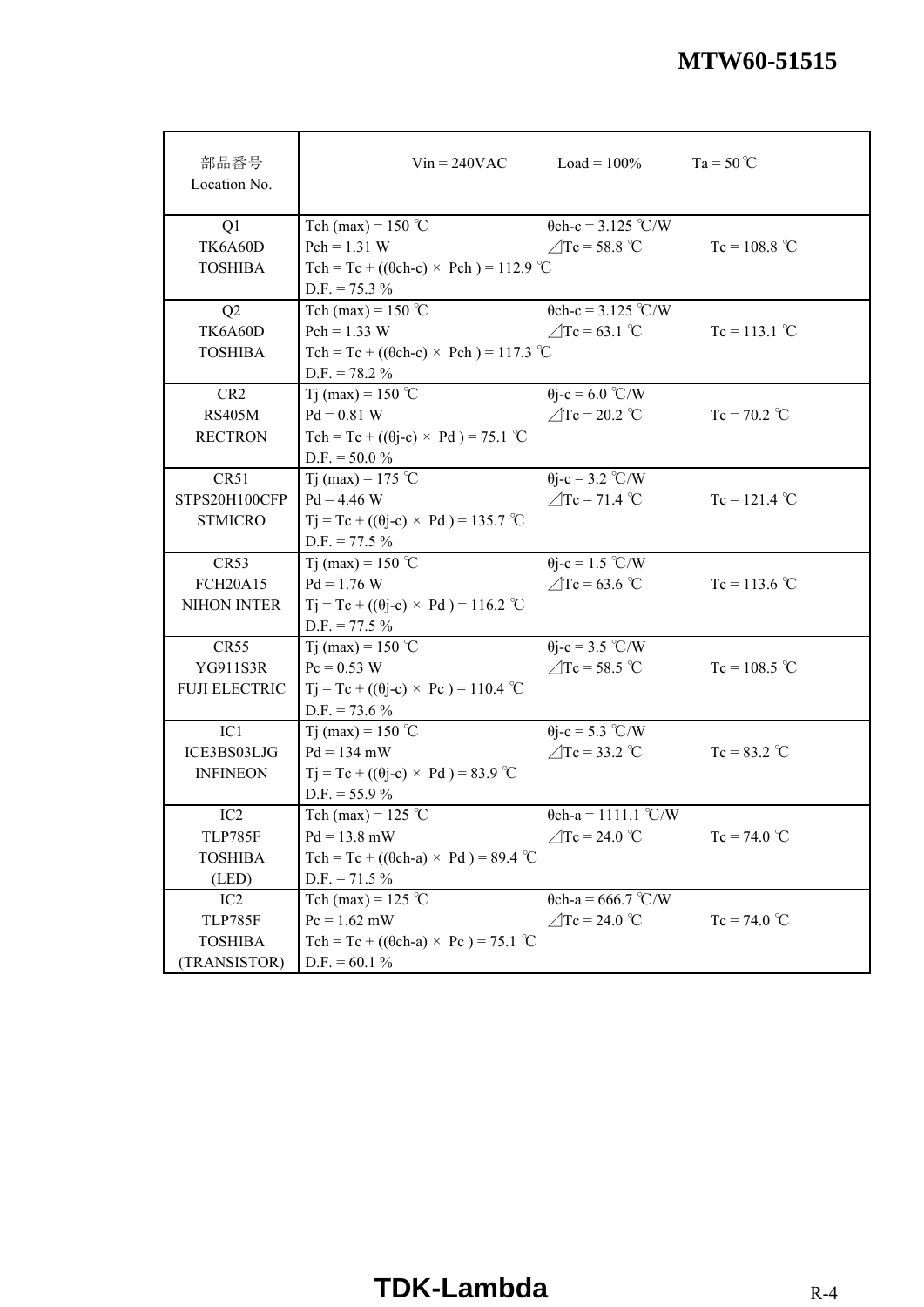| 部品番号<br>Location No. |                                                   | $V$ in = 240VAC $\qquad \qquad$ Load = 100% | $Ta = 50^{\circ}C$ |
|----------------------|---------------------------------------------------|---------------------------------------------|--------------------|
| Q1                   | Tch (max) = $150$ °C                              | $\theta$ ch-c = 3.125 °C/W                  |                    |
| TK6A60D              | $Pch = 1.31 W$                                    | $\angle$ Tc = 58.8 °C                       | $Tc = 108.8 °C$    |
| <b>TOSHIBA</b>       | Tch = Tc + (( $\theta$ ch-c) × Pch) = 112.9 °C    |                                             |                    |
|                      | $D.F. = 75.3 \%$                                  |                                             |                    |
| Q2                   | Tch (max) = $150$ °C                              | $\theta$ ch-c = 3.125 °C/W                  |                    |
| TK6A60D              | $Pch = 1.33 W$                                    | $\angle$ Tc = 63.1 °C                       | $Tc = 113.1$ °C    |
| <b>TOSHIBA</b>       | Tch = Tc + (( $\theta$ ch-c) × Pch) = 117.3 °C    |                                             |                    |
|                      | $D.F. = 78.2 \%$                                  |                                             |                    |
| CR <sub>2</sub>      | Tj (max) = 150 °C                                 | $\theta$ j-c = 6.0 °C/W                     |                    |
| <b>RS405M</b>        | $Pd = 0.81 W$                                     | $\angle$ Tc = 20.2 °C                       | $Tc = 70.2$ °C     |
| <b>RECTRON</b>       | Tch = Tc + (( $\theta$ j-c) × Pd) = 75.1 °C       |                                             |                    |
|                      | $D.F. = 50.0 %$                                   |                                             |                    |
| CR51                 | Tj (max) = 175 °C                                 | $\theta$ j-c = 3.2 °C/W                     |                    |
| STPS20H100CFP        | $Pd = 4.46 W$                                     | $\angle$ Tc = 71.4 °C                       | $Tc = 121.4$ °C    |
| <b>STMICRO</b>       | $Tj = Tc + ((\theta j - c) \times Pd) = 135.7$ °C |                                             |                    |
|                      | $D.F. = 77.5 \%$                                  |                                             |                    |
| CR53                 | T <sub>j</sub> (max) = 150 °C                     | $\theta$ j-c = 1.5 °C/W                     |                    |
| <b>FCH20A15</b>      | $Pd = 1.76 W$                                     | $\angle$ Tc = 63.6 °C                       | $Tc = 113.6 °C$    |
| NIHON INTER          | $Tj = Tc + ((\theta j - c) \times Pd) = 116.2$ °C |                                             |                    |
|                      | $D.F. = 77.5 \%$                                  |                                             |                    |
| <b>CR55</b>          | Tj (max) = 150 °C                                 | $\theta$ j-c = 3.5 °C/W                     |                    |
| YG911S3R             | $Pc = 0.53 W$                                     | $\triangle$ Tc = 58.5 °C                    | $Tc = 108.5 °C$    |
| <b>FUJI ELECTRIC</b> | $Tj = Tc + ((\theta j - c) \times Pc) = 110.4$ °C |                                             |                    |
|                      | $D.F. = 73.6 %$                                   |                                             |                    |
| IC1                  | Tj (max) = 150 °C                                 | $\theta$ j-c = 5.3 °C/W                     |                    |
| ICE3BS03LJG          | $Pd = 134$ mW                                     | $\angle$ Tc = 33.2 °C                       | $Tc = 83.2 °C$     |
| <b>INFINEON</b>      | $Tj = Tc + ((\theta j - c) \times Pd) = 83.9$ °C  |                                             |                    |
|                      | $D.F. = 55.9 \%$                                  |                                             |                    |
| IC2                  | Tch (max) = 125 $^{\circ}$ C                      | $\theta$ ch-a = 1111.1 °C/W                 |                    |
| TLP785F              | $Pd = 13.8$ mW                                    | $\angle$ Tc = 24.0 °C                       | $Tc = 74.0 °C$     |
| <b>TOSHIBA</b>       | Tch = Tc + (( $\theta$ ch-a) × Pd) = 89.4 °C      |                                             |                    |
| (LED)                | $D.F. = 71.5 \%$                                  |                                             |                    |
| IC <sub>2</sub>      | Tch (max) = 125 $^{\circ}$ C                      | $\theta$ ch-a = 666.7 °C/W                  |                    |
| <b>TLP785F</b>       | $Pc = 1.62$ mW                                    | $\angle$ Tc = 24.0 °C                       | $Tc = 74.0 °C$     |
| <b>TOSHIBA</b>       | Tch = Tc + (( $\theta$ ch-a) × Pc) = 75.1 °C      |                                             |                    |
| (TRANSISTOR)         | $D.F. = 60.1 %$                                   |                                             |                    |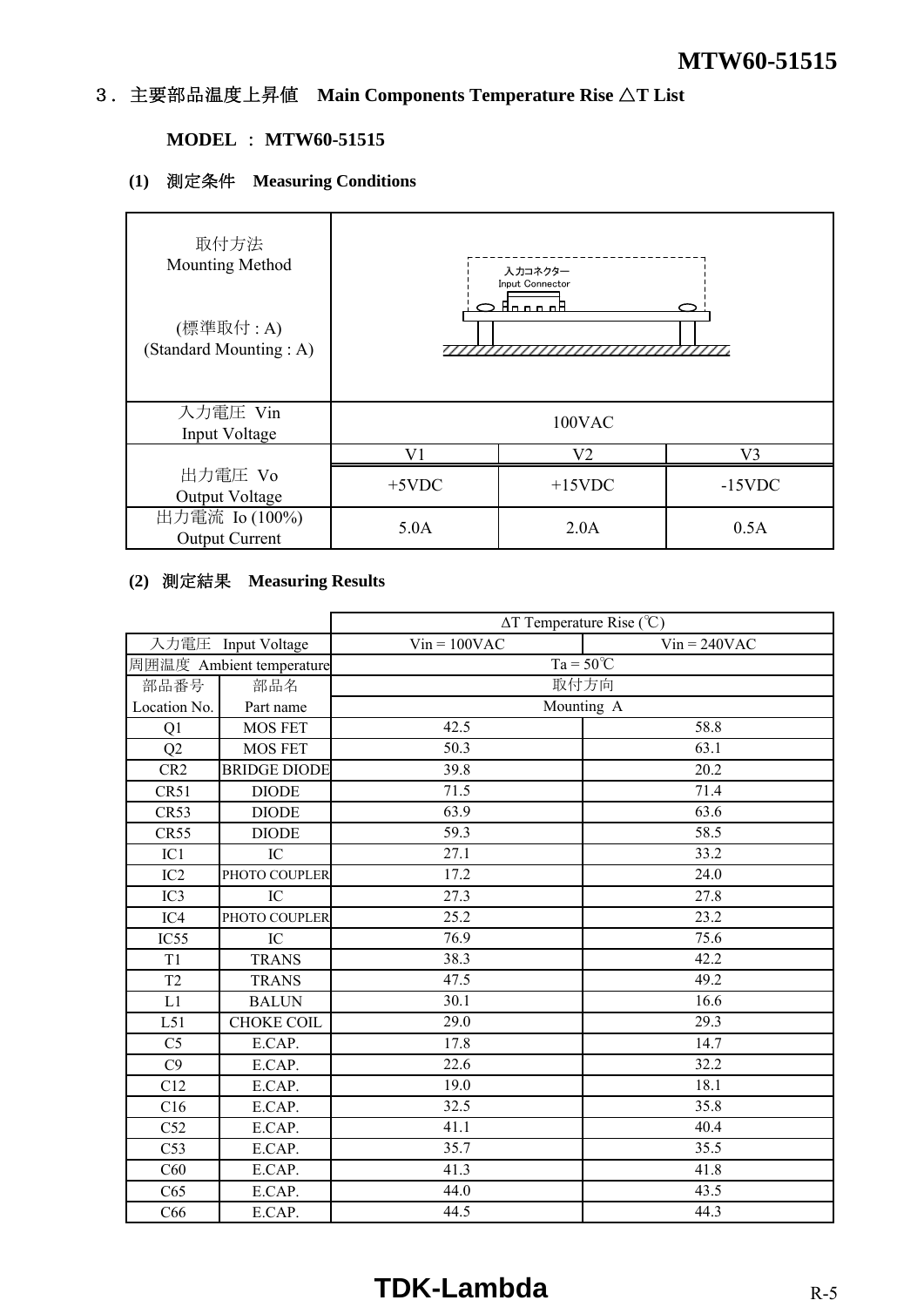# 3.主要部品温度上昇値 **Main Components Temperature Rise** △**T List**

# **MODEL** : **MTW60-51515**

# **(1)** 測定条件 **Measuring Conditions**

| 取付方法<br>Mounting Method<br>(標準取付:A)<br>(Standard Mounting: A) |          | 入力コネクター<br>Input Connector<br><u>a Anno nA</u> | 7777777   |
|---------------------------------------------------------------|----------|------------------------------------------------|-----------|
| 入力電圧 Vin<br>Input Voltage                                     |          | 100VAC                                         |           |
|                                                               | V1       | V2                                             | V3        |
| 出力電圧 Vo<br>Output Voltage                                     | $+5$ VDC | $+15$ VDC                                      | $-15$ VDC |
| 出力電流 Io (100%)<br><b>Output Current</b>                       | 5.0A     | 2.0A                                           | 0.5A      |

# **(2)** 測定結果 **Measuring Results**

|                 |                          |                | $\Delta T$ Temperature Rise (°C) |  |  |  |  |  |  |  |  |
|-----------------|--------------------------|----------------|----------------------------------|--|--|--|--|--|--|--|--|
|                 | 入力電圧 Input Voltage       | $Vin = 100VAC$ | $Vin = 240VAC$                   |  |  |  |  |  |  |  |  |
|                 | 周囲温度 Ambient temperature |                | $Ta = 50^{\circ}C$               |  |  |  |  |  |  |  |  |
| 部品番号            | 部品名                      | 取付方向           |                                  |  |  |  |  |  |  |  |  |
| Location No.    | Part name                | Mounting A     |                                  |  |  |  |  |  |  |  |  |
| Q1              | <b>MOS FET</b>           | 42.5           | 58.8                             |  |  |  |  |  |  |  |  |
| Q2              | <b>MOS FET</b>           | 50.3           | 63.1                             |  |  |  |  |  |  |  |  |
| CR <sub>2</sub> | <b>BRIDGE DIODE</b>      | 39.8           | 20.2                             |  |  |  |  |  |  |  |  |
| CR51            | <b>DIODE</b>             | 71.5           | 71.4                             |  |  |  |  |  |  |  |  |
| CR53            | <b>DIODE</b>             | 63.9           | 63.6                             |  |  |  |  |  |  |  |  |
| CR55            | <b>DIODE</b>             | 59.3           | 58.5                             |  |  |  |  |  |  |  |  |
| IC1             | IC                       | 27.1           | 33.2                             |  |  |  |  |  |  |  |  |
| IC2             | PHOTO COUPLER            | 17.2           | 24.0                             |  |  |  |  |  |  |  |  |
| IC <sub>3</sub> | IC                       | 27.3           | $\overline{27.8}$                |  |  |  |  |  |  |  |  |
| IC4             | PHOTO COUPLER            | 25.2           | 23.2                             |  |  |  |  |  |  |  |  |
| IC55            | IC                       | 76.9           | 75.6                             |  |  |  |  |  |  |  |  |
| T <sub>1</sub>  | <b>TRANS</b>             | 38.3           | 42.2                             |  |  |  |  |  |  |  |  |
| T <sub>2</sub>  | <b>TRANS</b>             | 47.5           | 49.2                             |  |  |  |  |  |  |  |  |
| L1              | <b>BALUN</b>             | 30.1           | 16.6                             |  |  |  |  |  |  |  |  |
| L51             | <b>CHOKE COIL</b>        | 29.0           | 29.3                             |  |  |  |  |  |  |  |  |
| C <sub>5</sub>  | E.CAP.                   | 17.8           | 14.7                             |  |  |  |  |  |  |  |  |
| C9              | E.CAP.                   | 22.6           | 32.2                             |  |  |  |  |  |  |  |  |
| C12             | E.CAP.                   | 19.0           | 18.1                             |  |  |  |  |  |  |  |  |
| C16             | E.CAP.                   | 32.5           | 35.8                             |  |  |  |  |  |  |  |  |
| C52             | E.CAP.                   | 41.1           | 40.4                             |  |  |  |  |  |  |  |  |
| C53             | E.CAP.                   | 35.7           | 35.5                             |  |  |  |  |  |  |  |  |
| C60             | E.CAP.                   | 41.3           | 41.8                             |  |  |  |  |  |  |  |  |
| C65             | E.CAP.                   | 44.0           | 43.5                             |  |  |  |  |  |  |  |  |
| C66             | E.CAP.                   | 44.5           | 44.3                             |  |  |  |  |  |  |  |  |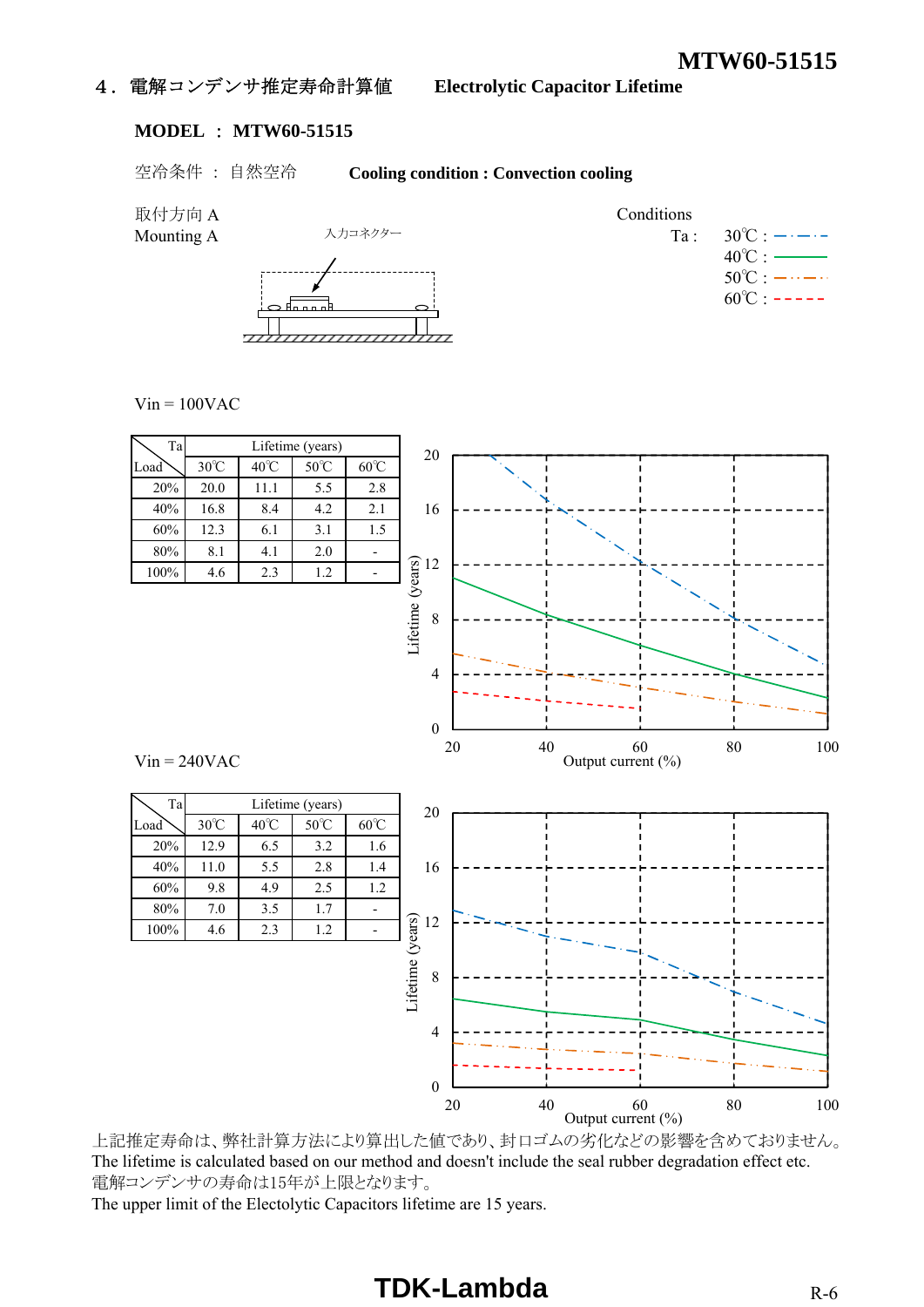## 4.電解コンデンサ推定寿命計算値 **Electrolytic Capacitor Lifetime**

#### **MODEL** : **MTW60-51515**

空冷条件 : 自然空冷 **Cooling condition : Convection cooling**

取付方向 A Conditions Mounting A Ta : 30℃ : 入力コネクター  $40^{\circ}$ C : - $50^{\circ}$ C :  $-\cdots$   $60^{\circ}$ C :  $- f_{\text{max}}$ 

 $Vin = 100VAC$ 



上記推定寿命は、弊社計算方法により算出した値であり、封口ゴムの劣化などの影響を含めておりません。 The lifetime is calculated based on our method and doesn't include the seal rubber degradation effect etc. 電解コンデンサの寿命は15年が上限となります。

The upper limit of the Electolytic Capacitors lifetime are 15 years.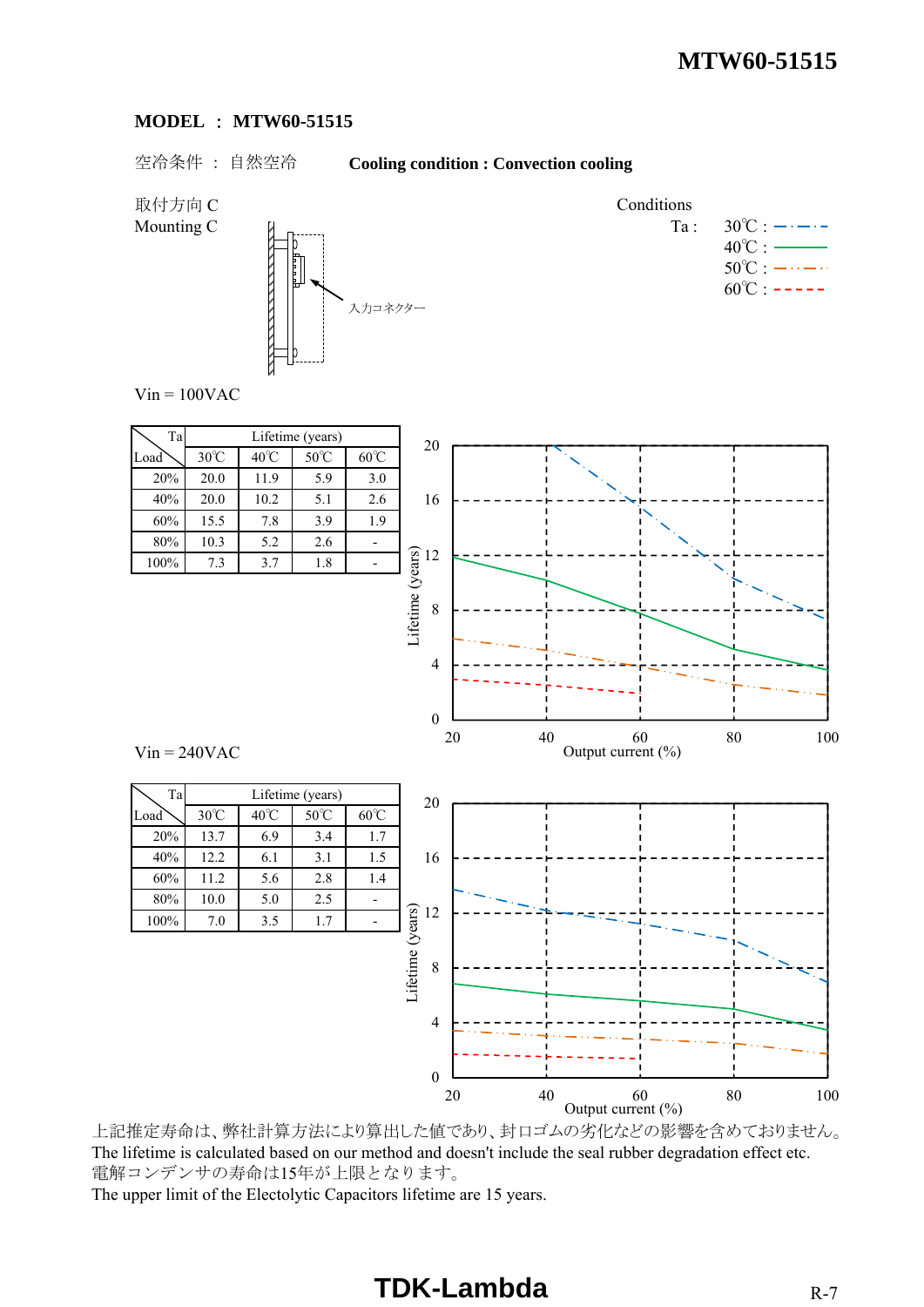#### **MODEL** : **MTW60-51515**

#### 空冷条件 : 自然空冷 **Cooling condition : Convection cooling**

取付方向 C Conditions



Mounting C  $\begin{array}{ccc} \n\mathbb{Z} & \downarrow \n\end{array}$   $\begin{array}{ccc} \n\mathbb{Z} & \downarrow \n\end{array}$   $\begin{array}{ccc} \n\mathbb{Z} & \downarrow \n\end{array}$  $40^{\circ}$ C :  $50^{\circ}$ C :  $-\cdots$   $\cdots$  $60^{\circ}$ C : -----

 $Vin = 100VAC$ 

 $Vin = 240VAC$ 

Ta Lifetime (years)

100% 7.0 3.5 1.7

| Ta   | Lifetime (years) |                        |     |     |  |  |  |  |  |  |  |  |  |  |
|------|------------------|------------------------|-----|-----|--|--|--|--|--|--|--|--|--|--|
| Load | $30^{\circ}$ C   | 40°C<br>$50^{\circ}$ C |     |     |  |  |  |  |  |  |  |  |  |  |
| 20%  | 20.0             | 11.9                   | 5.9 | 3.0 |  |  |  |  |  |  |  |  |  |  |
| 40%  | 20.0             | 10.2                   | 5.1 | 2.6 |  |  |  |  |  |  |  |  |  |  |
| 60%  | 15.5             | 7.8                    | 3.9 | 1.9 |  |  |  |  |  |  |  |  |  |  |
| 80%  | 10.3             | 5.2                    | 2.6 |     |  |  |  |  |  |  |  |  |  |  |
| 100% | 7.3              | 3.7                    | 1.8 |     |  |  |  |  |  |  |  |  |  |  |



20 40 60 80 100

Output current  $(\% )$ 

上記推定寿命は、弊社計算方法により算出した値であり、封口ゴムの劣化などの影響を含めておりません。 The lifetime is calculated based on our method and doesn't include the seal rubber degradation effect etc. 電解コンデンサの寿命は15年が上限となります。 The upper limit of the Electolytic Capacitors lifetime are 15 years.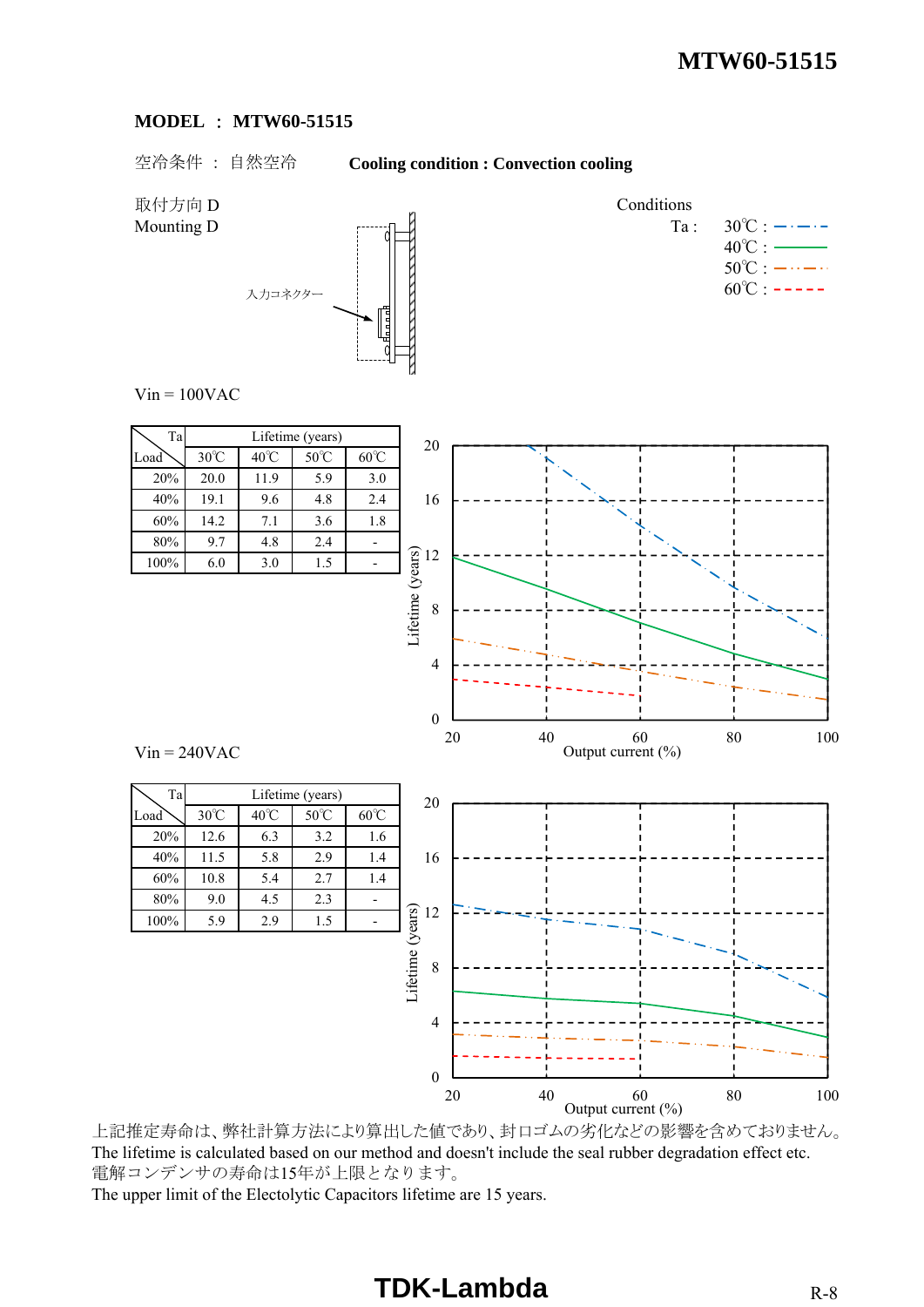#### **MODEL** : **MTW60-51515**

空冷条件 : 自然空冷 **Cooling condition : Convection cooling**

取付方向 D Conditions Mounting D  $\begin{array}{ccc}\n\vdots & \vdots & \vdots & \vdots \\
\downarrow & & \downarrow & \downarrow \\
\downarrow & & & \downarrow & \downarrow \\
\downarrow & & & \downarrow & \downarrow \\
\downarrow & & & & \downarrow & \downarrow \\
\downarrow & & & & \downarrow & \downarrow \\
\downarrow & & & & \downarrow & \downarrow \\
\downarrow & & & & \downarrow & \downarrow \\
\downarrow & & & & \downarrow & \downarrow \\
\downarrow & & & & \downarrow & \downarrow \\
\downarrow & & & & \downarrow & \downarrow \\
\downarrow & & & & & \downarrow & \downarrow \\
\downarrow & & & & & \downarrow & \downarrow \\
\downarrow & & & &$  $40^{\circ}$ C :  $50^{\circ}$ C :  $-\cdots$   $\cdots$  $60^{\circ}$ C : -----入力コネクター  $Vin = 100VAC$ Ta Lifetime (years) 20  $\text{Load}$  30°C 40°C 50°C 60°C 20% 20.0 11.9 5.9 3.0 16 40% 19.1 9.6 4.8 2.4 60% 14.2 7.1 3.6 1.8 80% 9.7 4.8 2.4 - Lifetime (years) 12 100% 6.0 3.0 1.5 - 8 4 0 20 40 60 80 100 Output current (%)  $Vin = 240VAC$ Ta Lifetime (years) 20  $\text{Load}$  30°C 40°C 50°C 60°C 20% 12.6 6.3 3.2 1.6 40% 11.5 5.8 2.9 1.4 16 60% 10.8 5.4 2.7 1.4 80% 9.0 4.5 2.3 - Lifetime (years) Lifetime (years) 12 100% 5.9 2.9 1.5 8 4

上記推定寿命は、弊社計算方法により算出した値であり、封口ゴムの劣化などの影響を含めておりません。 The lifetime is calculated based on our method and doesn't include the seal rubber degradation effect etc. 電解コンデンサの寿命は15年が上限となります。

20 40 60 80 100

Output current  $(\% )$ 

0

The upper limit of the Electolytic Capacitors lifetime are 15 years.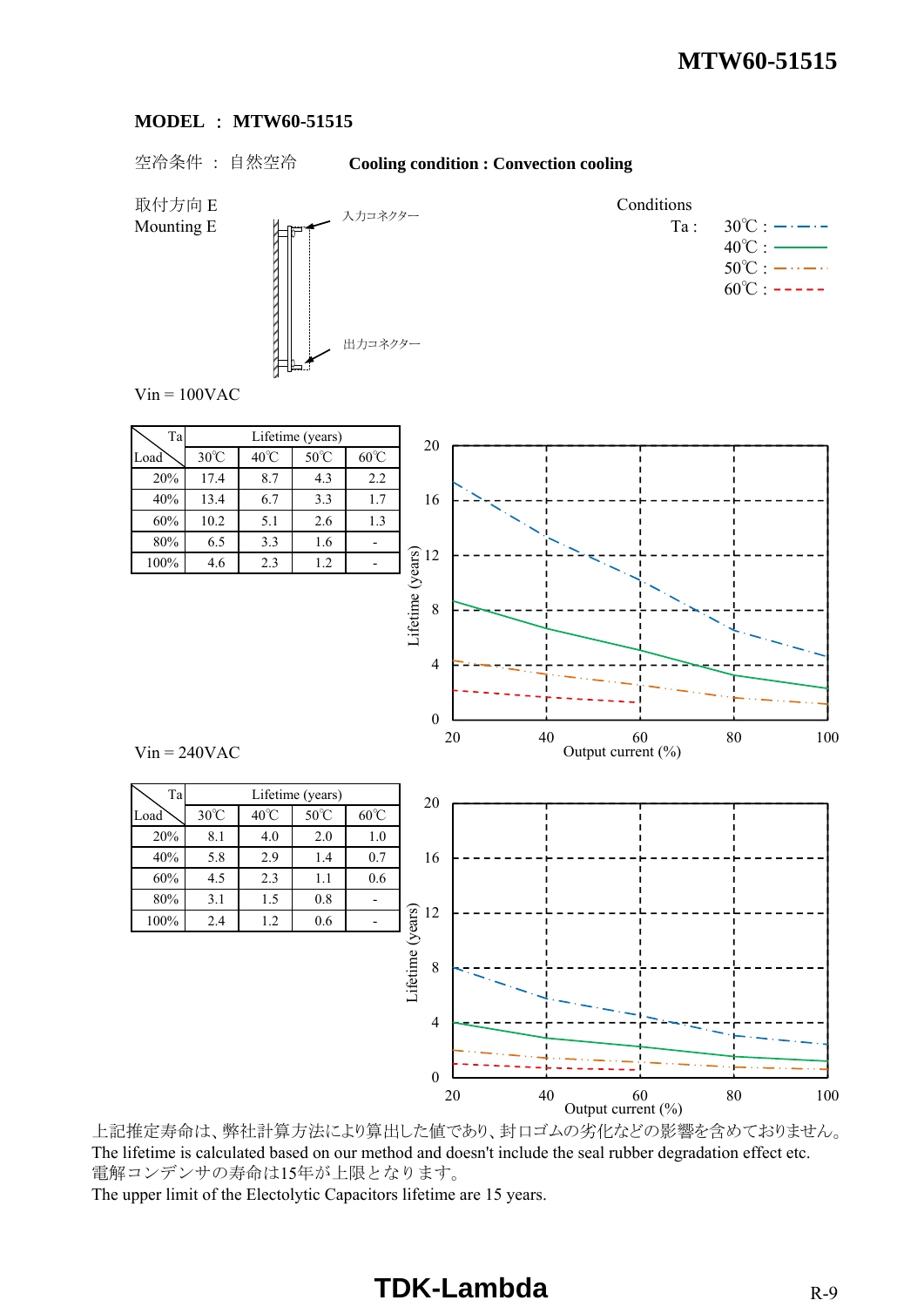#### **MODEL** : **MTW60-51515**

#### 空冷条件 : 自然空冷 **Cooling condition : Convection cooling**

取付方向 E Conditions



Mounting E  $\qquad \qquad \qquad \mathbb{L}_{\mathbb{R}^n}$   $\qquad \qquad \mathbb{L}_{\mathbb{R}^n}$   $\longrightarrow$   $\qquad \qquad \mathbb{T}_a$  :  $30^\circ \text{C}$  :  $\longrightarrow$  $40^{\circ}$ C :  $50^{\circ}$ C :  $-\cdots$   $\cdots$  $60^{\circ}$ C : -----

 $Vin = 100VAC$ 



上記推定寿命は、弊社計算方法により算出した値であり、封口ゴムの劣化などの影響を含めておりません。 The lifetime is calculated based on our method and doesn't include the seal rubber degradation effect etc. 電解コンデンサの寿命は15年が上限となります。

The upper limit of the Electolytic Capacitors lifetime are 15 years.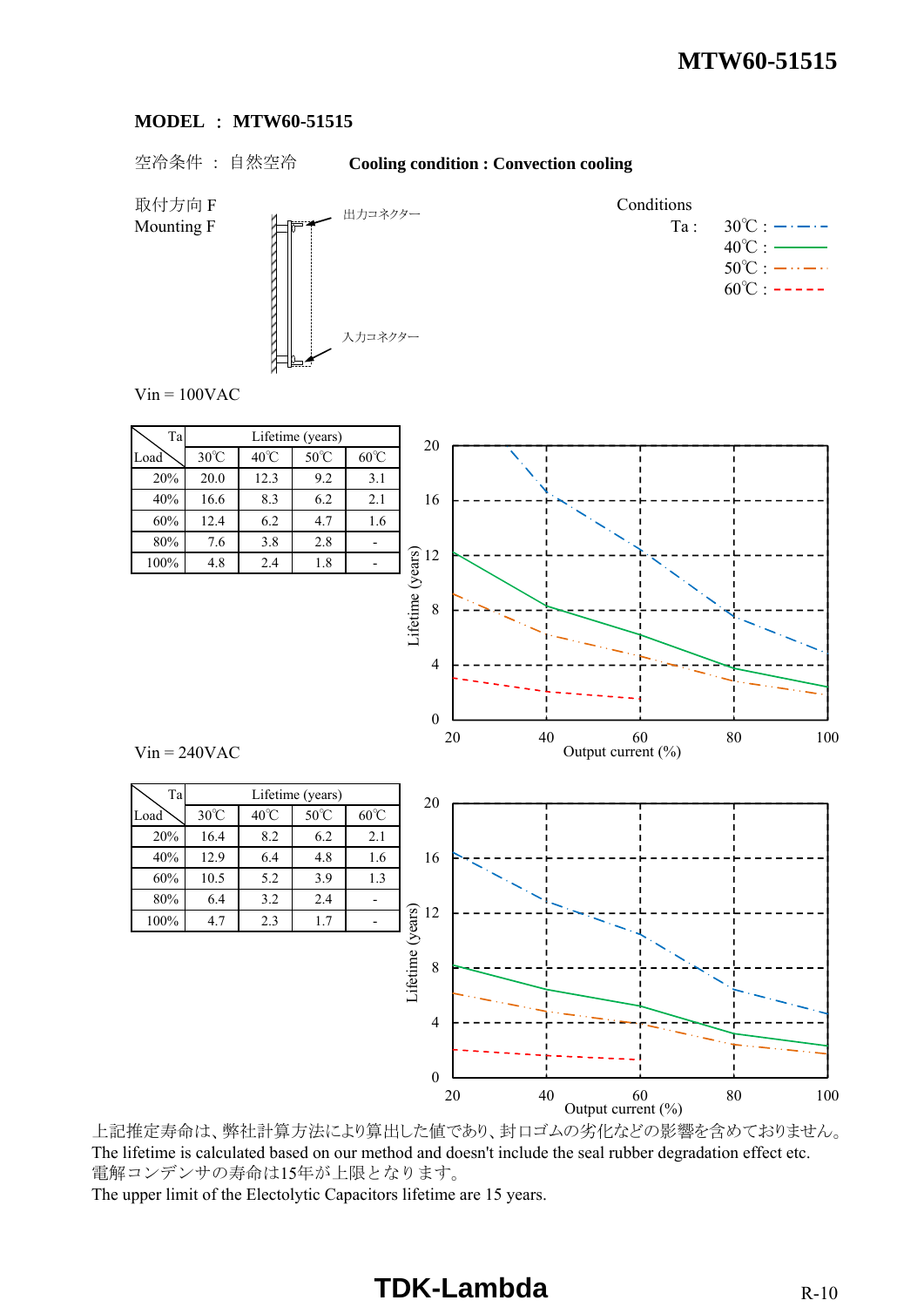#### **MODEL** : **MTW60-51515**

### 空冷条件 : 自然空冷 **Cooling condition : Convection cooling**



Mounting F  $\qquad \qquad \qquad$   $\qquad \qquad$   $\qquad \qquad$   $\qquad \qquad$   $\qquad \qquad$   $\qquad \qquad$   $\qquad \qquad$   $\qquad \qquad$   $\qquad \qquad$   $\qquad \qquad$   $\qquad \qquad$   $\qquad \qquad$   $\qquad \qquad$   $\qquad \qquad$   $\qquad \qquad$   $\qquad \qquad$   $\qquad \qquad$   $\qquad \qquad$   $\qquad \qquad$   $\qquad \qquad$   $\qquad \qquad$   $\qquad \qquad$   $\qquad \qquad$   $40^{\circ}$ C :  $50^{\circ}$ C :  $-\cdots$   $\cdots$  $60^{\circ}$ C : -----

 $Vin = 100VAC$ 



上記推定寿命は、弊社計算方法により算出した値であり、封口ゴムの劣化などの影響を含めておりません。 The lifetime is calculated based on our method and doesn't include the seal rubber degradation effect etc. 電解コンデンサの寿命は15年が上限となります。 The upper limit of the Electolytic Capacitors lifetime are 15 years.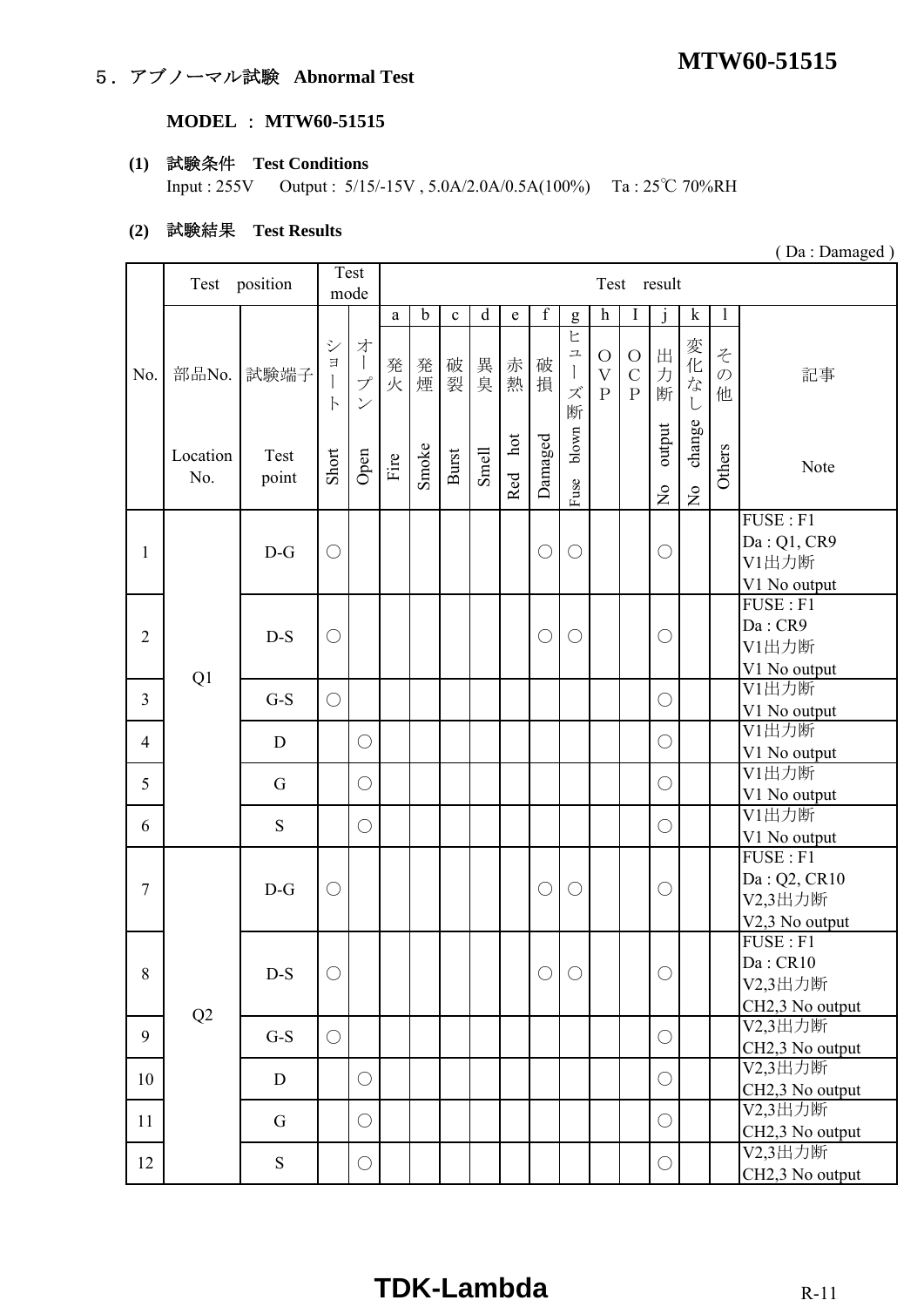# **MTW60-51515** 5.アブノーマル試験 **Abnormal Test**

# **MODEL** : **MTW60-51515**

#### **(1)** 試験条件 **Test Conditions**

Input : 255V Output : 5/15/-15V , 5.0A/2.0A/0.5A(100%) Ta : 25℃ 70%RH

#### **(2)** 試験結果 **Test Results**

|                | Test            | position      |                                    | Test                                                                                       |              |             |             |             |             |                  |                                                                           |                                                      | Test result                            |                                          |                                     |                         |                                                                     |
|----------------|-----------------|---------------|------------------------------------|--------------------------------------------------------------------------------------------|--------------|-------------|-------------|-------------|-------------|------------------|---------------------------------------------------------------------------|------------------------------------------------------|----------------------------------------|------------------------------------------|-------------------------------------|-------------------------|---------------------------------------------------------------------|
|                |                 |               |                                    | mode                                                                                       |              |             |             |             |             |                  |                                                                           |                                                      |                                        |                                          |                                     |                         |                                                                     |
|                |                 |               |                                    |                                                                                            | $\mathbf{a}$ | $\mathbf b$ | $\mathbf c$ | $\mathbf d$ | $\mathbf e$ | $\boldsymbol{f}$ | g                                                                         | $\boldsymbol{h}$                                     | I                                      | j                                        | $\mathbf k$                         | $\mathbf{1}$            |                                                                     |
| No.            | 部品No.           | 試験端子          | $\ddot{\vee}$<br>$\Xi$<br>$\vdash$ | 才<br>$\begin{array}{c} \hline \end{array}$<br>$\mathcal{I}^{\circ}$<br>$\overline{\smile}$ | 発火           | 発煙          | 破裂          | 異臭          | 赤熱          | 破損               | Ł<br>$\overline{\phantom{a}}$<br>$\begin{array}{c} \end{array}$<br>ズ<br>断 | $\bigcirc$<br>$\overline{\mathrm{V}}$<br>$\mathbf P$ | $\bigcirc$<br>$\mathcal{C}$<br>$\rm P$ | 出<br>力<br>断                              | 変化な<br>$\overline{L}$               | z<br>$\mathcal{O}$<br>他 | 記事                                                                  |
|                | Location<br>No. | Test<br>point | Short                              | Open                                                                                       | Fire         | Smoke       | Burst       | Smell       | hot<br>Red  | Damaged          | blown<br>Fuse                                                             |                                                      |                                        | output<br>$\mathop{\mathsf{S}}\nolimits$ | change<br>$\mathsf{S}^{\mathsf{O}}$ | Others                  | Note                                                                |
|                |                 |               |                                    |                                                                                            |              |             |             |             |             |                  |                                                                           |                                                      |                                        |                                          |                                     |                         | FUSE: F1                                                            |
| 1              |                 | $D-G$         | О                                  |                                                                                            |              |             |             |             |             | О                | $\bigcirc$                                                                |                                                      |                                        | $\bigcirc$                               |                                     |                         | Da: Q1, CR9<br>V1出力断                                                |
|                |                 |               |                                    |                                                                                            |              |             |             |             |             |                  |                                                                           |                                                      |                                        |                                          |                                     |                         | V1 No output<br>FUSE : F1                                           |
| $\overline{2}$ |                 | $D-S$         | $\bigcirc$                         |                                                                                            |              |             |             |             |             | $\bigcirc$       | $\bigcirc$                                                                |                                                      |                                        | $\bigcirc$                               |                                     |                         | Da: CR9<br>V1出力断<br>V1 No output                                    |
| $\overline{3}$ | Q1              | $G-S$         | $\bigcirc$                         |                                                                                            |              |             |             |             |             |                  |                                                                           |                                                      |                                        | $\bigcirc$                               |                                     |                         | V1出力断<br>V1 No output                                               |
| $\overline{4}$ |                 | D             |                                    | $\bigcirc$                                                                                 |              |             |             |             |             |                  |                                                                           |                                                      |                                        | $\bigcirc$                               |                                     |                         | V1出力断<br>V1 No output                                               |
| 5              |                 | G             |                                    | $\bigcirc$                                                                                 |              |             |             |             |             |                  |                                                                           |                                                      |                                        | $\bigcirc$                               |                                     |                         | V1出力断<br>V1 No output                                               |
| 6              |                 | S             |                                    | $\bigcirc$                                                                                 |              |             |             |             |             |                  |                                                                           |                                                      |                                        | $\bigcirc$                               |                                     |                         | V1出力断<br>V1 No output                                               |
| $\overline{7}$ |                 | $D-G$         | $\bigcirc$                         |                                                                                            |              |             |             |             |             | $\bigcirc$       | $\bigcirc$                                                                |                                                      |                                        | $\bigcirc$                               |                                     |                         | FUSE : F1<br>Da: Q2, CR10<br>V2,3出力断<br>V <sub>2</sub> ,3 No output |
| 8              |                 | $D-S$         | $\bigcirc$                         |                                                                                            |              |             |             |             |             | $\bigcirc$       | O                                                                         |                                                      |                                        | $\bigcirc$                               |                                     |                         | FUSE : F1<br>Da:CR10<br>V2,3出力断<br>CH2,3 No output                  |
| 9              | Q2              | $G-S$         | $\bigcirc$                         |                                                                                            |              |             |             |             |             |                  |                                                                           |                                                      |                                        | $\bigcirc$                               |                                     |                         | V2,3出力断<br>CH <sub>2</sub> ,3 No output                             |
| 10             |                 | D             |                                    | $\bigcirc$                                                                                 |              |             |             |             |             |                  |                                                                           |                                                      |                                        | $\bigcirc$                               |                                     |                         | V2,3出力断<br>CH2,3 No output                                          |
| 11             |                 | G             |                                    | $\bigcirc$                                                                                 |              |             |             |             |             |                  |                                                                           |                                                      |                                        | $\bigcirc$                               |                                     |                         | V2,3出力断<br>CH2,3 No output                                          |
| 12             |                 | ${\bf S}$     |                                    | $\bigcirc$                                                                                 |              |             |             |             |             |                  |                                                                           |                                                      |                                        | $\bigcirc$                               |                                     |                         | V2,3出力断<br>CH <sub>2</sub> ,3 No output                             |

( Da : Damaged )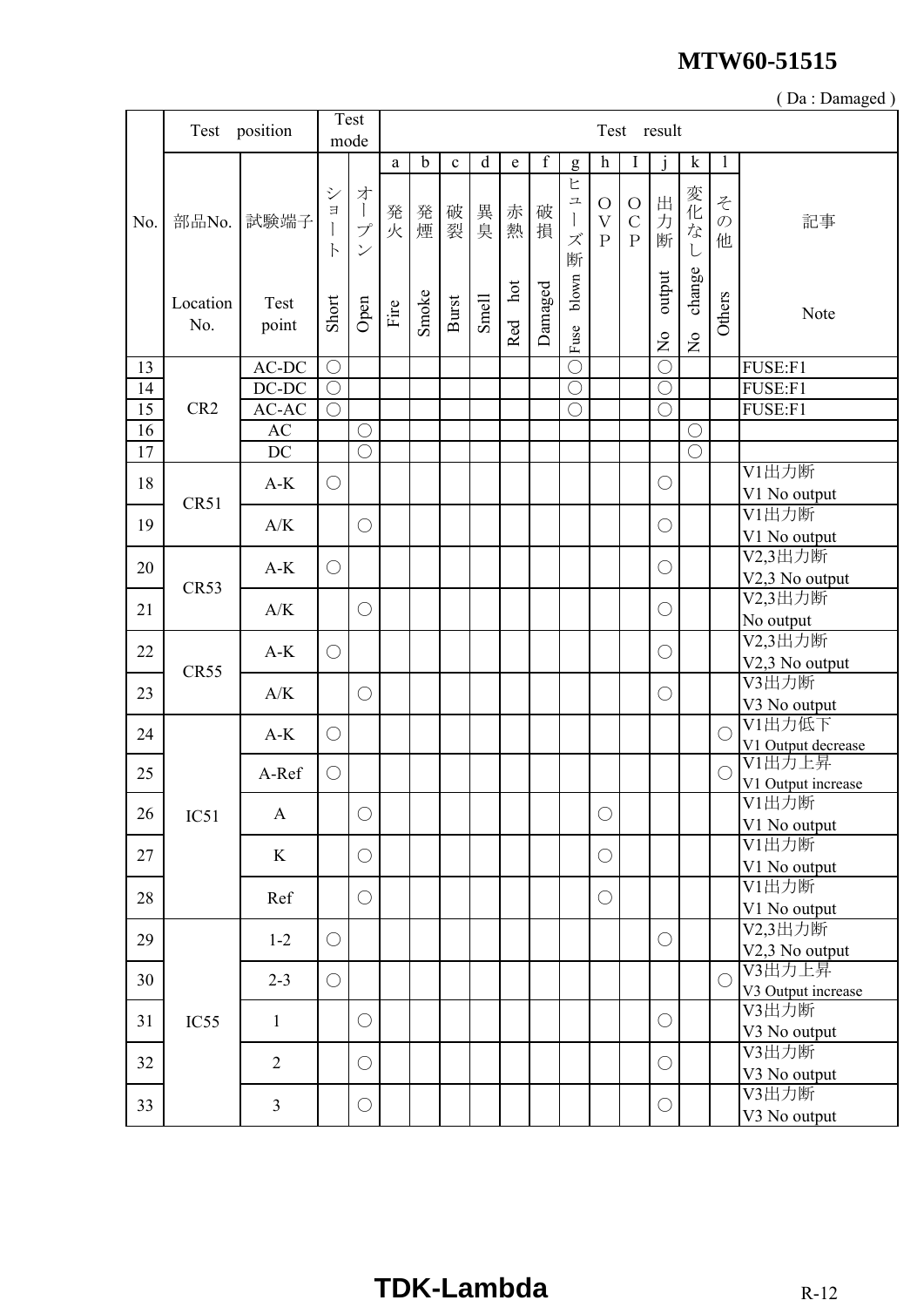|     |                 |                |                                              |                                                                             |      |             |             |             |            |             |                       |                                                       |                                             |                                     |                          |                         | (Da: Damaged)                |
|-----|-----------------|----------------|----------------------------------------------|-----------------------------------------------------------------------------|------|-------------|-------------|-------------|------------|-------------|-----------------------|-------------------------------------------------------|---------------------------------------------|-------------------------------------|--------------------------|-------------------------|------------------------------|
|     | Test            | position       |                                              | Test<br>mode                                                                |      |             |             |             |            |             |                       |                                                       |                                             | Test result                         |                          |                         |                              |
|     |                 |                |                                              |                                                                             | a    | $\mathbf b$ | $\mathbf c$ | $\mathbf d$ | e          | $\mathbf f$ | g                     | $\boldsymbol{\textbf{h}}$                             | I                                           | $\mathbf{1}$                        | $\mathbf k$              | 1                       |                              |
| No. | 部品No.           | 試験端子           | $\ddot{\checkmark}$<br>$\exists$<br>$\vdash$ | 才<br>$\begin{array}{c} \hline \end{array}$<br>プ<br>$\overline{\mathcal{S}}$ | 発火   | 発煙          | 破裂          | 異臭          | 赤熱         | 破<br>損      | ヒ<br>ユ<br>ズ<br>断      | $\bigcirc$<br>$\overline{\mathrm{V}}$<br>$\mathbf{P}$ | $\bigcirc$<br>$\mathcal{C}$<br>$\mathbf{P}$ | 出力断                                 | 変化な                      | そ<br>$\mathcal{O}$<br>他 | 記事                           |
|     | Location<br>No. | Test<br>point  | Short                                        | Open                                                                        | Fire | Smoke       | Burst       | Smell       | hot<br>Red | Damaged     | blown<br>Fuse         |                                                       |                                             | output<br>$\mathsf{S}^{\mathsf{o}}$ | change<br>$\overline{z}$ | Others                  | Note                         |
| 13  |                 | $AC-DC$        | $\bigcirc$                                   |                                                                             |      |             |             |             |            |             | $\overline{\bigcirc}$ |                                                       |                                             | $\bigcirc$                          |                          |                         | FUSE:F1                      |
| 14  |                 | $DC-DC$        | $\bigcirc$                                   |                                                                             |      |             |             |             |            |             | $\overline{\bigcirc}$ |                                                       |                                             | $\bigcirc$                          |                          |                         | FUSE:F1                      |
| 15  | CR <sub>2</sub> | AC-AC          | $\bigcirc$                                   |                                                                             |      |             |             |             |            |             | $\bigcirc$            |                                                       |                                             | $\overline{\bigcirc}$               |                          |                         | FUSE:F1                      |
| 16  |                 | AC             |                                              | $\bigcirc$                                                                  |      |             |             |             |            |             |                       |                                                       |                                             |                                     | $\bigcirc$               |                         |                              |
| 17  |                 | DC             |                                              | $\bigcirc$                                                                  |      |             |             |             |            |             |                       |                                                       |                                             |                                     | $\bigcirc$               |                         |                              |
| 18  |                 | $A-K$          | $\bigcirc$                                   |                                                                             |      |             |             |             |            |             |                       |                                                       |                                             | $\bigcirc$                          |                          |                         | V1出力断<br>V1 No output        |
| 19  | CR51            | A/K            |                                              | $\bigcirc$                                                                  |      |             |             |             |            |             |                       |                                                       |                                             | $\bigcirc$                          |                          |                         | V1出力断<br>V1 No output        |
| 20  |                 | $A-K$          | $\bigcirc$                                   |                                                                             |      |             |             |             |            |             |                       |                                                       |                                             | $\bigcirc$                          |                          |                         | V2,3出力断<br>V2,3 No output    |
| 21  | CR53            | A/K            |                                              | $\bigcirc$                                                                  |      |             |             |             |            |             |                       |                                                       |                                             | $\bigcirc$                          |                          |                         | V2,3出力断<br>No output         |
| 22  |                 | $A-K$          | $\bigcirc$                                   |                                                                             |      |             |             |             |            |             |                       |                                                       |                                             | $\bigcirc$                          |                          |                         | V2,3出力断<br>V2,3 No output    |
| 23  | CR55            | A/K            |                                              | $\bigcirc$                                                                  |      |             |             |             |            |             |                       |                                                       |                                             | $\bigcirc$                          |                          |                         | V3出力断<br>V3 No output        |
| 24  |                 | $A-K$          | $\bigcirc$                                   |                                                                             |      |             |             |             |            |             |                       |                                                       |                                             |                                     |                          | $\bigcirc$              | V1出力低下<br>V1 Output decrease |
| 25  |                 | A-Ref          | $\bigcirc$                                   |                                                                             |      |             |             |             |            |             |                       |                                                       |                                             |                                     |                          | $\bigcirc$              | V1出力上昇<br>V1 Output increase |
| 26  | IC51            | $\mathbf{A}$   |                                              | $\bigcirc$                                                                  |      |             |             |             |            |             |                       | $\bigcirc$                                            |                                             |                                     |                          |                         | V1出力断<br>V1 No output        |
| 27  |                 | K              |                                              | $\bigcirc$                                                                  |      |             |             |             |            |             |                       | $\bigcirc$                                            |                                             |                                     |                          |                         | V1出力断<br>V1 No output        |
| 28  |                 | Ref            |                                              | $\bigcirc$                                                                  |      |             |             |             |            |             |                       | $\bigcirc$                                            |                                             |                                     |                          |                         | V1出力断<br>V1 No output        |
| 29  |                 | $1 - 2$        | $\bigcirc$                                   |                                                                             |      |             |             |             |            |             |                       |                                                       |                                             | $\bigcirc$                          |                          |                         | V2,3出力断<br>V2,3 No output    |
| 30  |                 | $2 - 3$        | $\bigcirc$                                   |                                                                             |      |             |             |             |            |             |                       |                                                       |                                             |                                     |                          | $\bigcirc$              | V3出力上昇<br>V3 Output increase |
| 31  | IC55            | $\mathbf{1}$   |                                              | $\bigcirc$                                                                  |      |             |             |             |            |             |                       |                                                       |                                             | $\bigcirc$                          |                          |                         | V3出力断<br>V3 No output        |
| 32  |                 | $\overline{2}$ |                                              | $\bigcirc$                                                                  |      |             |             |             |            |             |                       |                                                       |                                             | $\bigcirc$                          |                          |                         | V3出力断<br>V3 No output        |
| 33  |                 | $\overline{3}$ |                                              | $\bigcirc$                                                                  |      |             |             |             |            |             |                       |                                                       |                                             | $\bigcirc$                          |                          |                         | V3出力断<br>V3 No output        |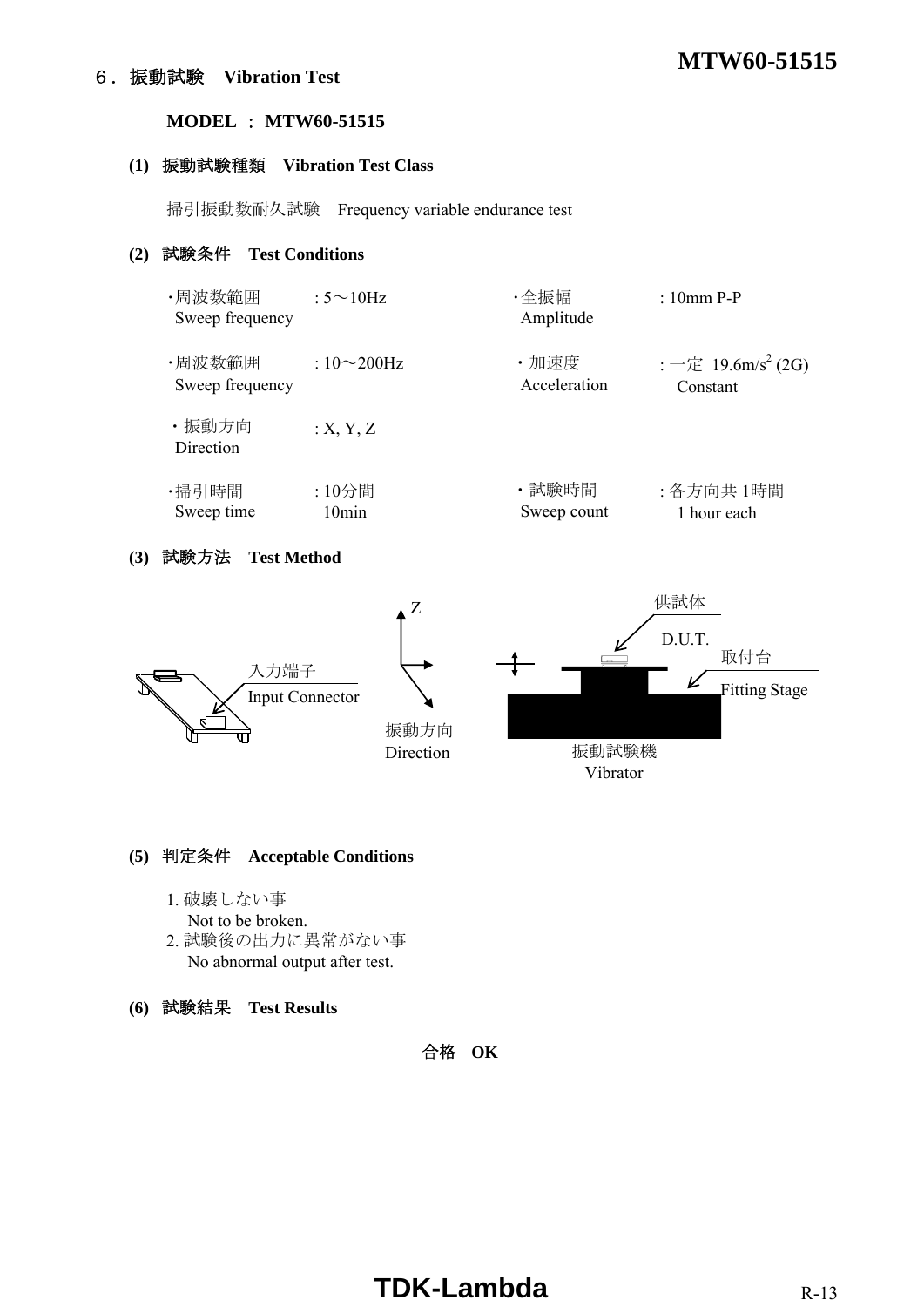# **MTW60-51515** 6.振動試験 **Vibration Test**

#### **MODEL** : **MTW60-51515**

#### **(1)** 振動試験種類 **Vibration Test Class**

掃引振動数耐久試験 Frequency variable endurance test

### **(2)** 試験条件 **Test Conditions**

| ・周波数範囲<br>Sweep frequency | : $5 \sim 10$ Hz | ・全振幅<br>Amplitude | $: 10mm$ P-P                   |
|---------------------------|------------------|-------------------|--------------------------------|
| ・周波数範囲                    | : $10\sim200$ Hz | ・加速度              | : 一定 19.6m/s <sup>2</sup> (2G) |
| Sweep frequency           |                  | Acceleration      | Constant                       |
| ・振動方向<br>Direction        | :X, Y, Z         |                   |                                |
| ・掃引時間                     | :10分間            | ・試験時間             | : 各方向共 1時間                     |
| Sweep time                | 10min            | Sweep count       | 1 hour each                    |

#### **(3)** 試験方法 **Test Method**



#### **(5)** 判定条件 **Acceptable Conditions**

- 1. 破壊しない事
- Not to be broken.
- 2. 試験後の出力に異常がない事 No abnormal output after test.
- **(6)** 試験結果 **Test Results**

合格 **OK**